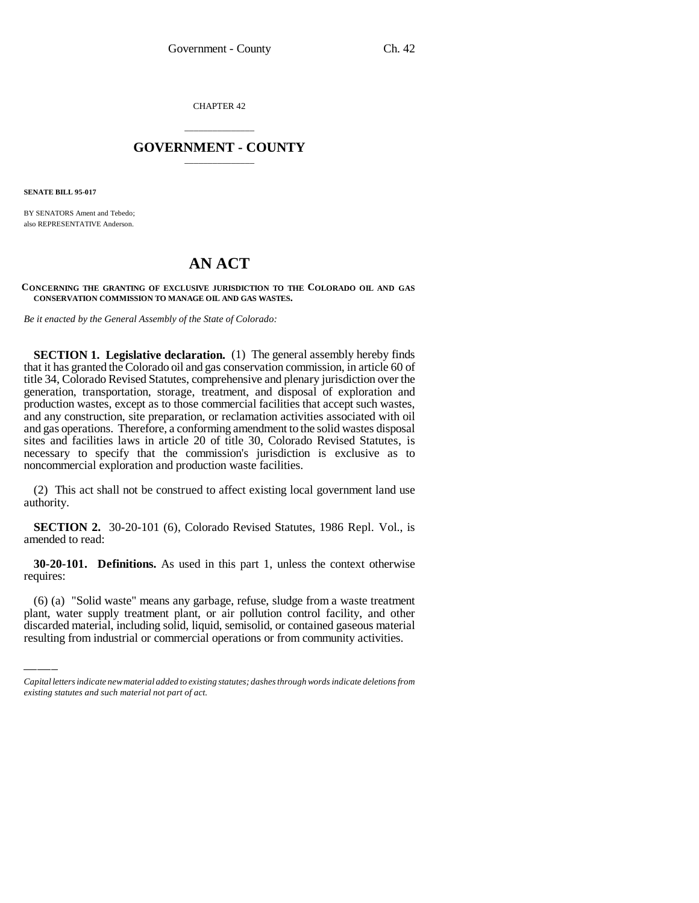CHAPTER 42

## \_\_\_\_\_\_\_\_\_\_\_\_\_\_\_ **GOVERNMENT - COUNTY** \_\_\_\_\_\_\_\_\_\_\_\_\_\_\_

**SENATE BILL 95-017**

BY SENATORS Ament and Tebedo; also REPRESENTATIVE Anderson.

## **AN ACT**

**CONCERNING THE GRANTING OF EXCLUSIVE JURISDICTION TO THE COLORADO OIL AND GAS CONSERVATION COMMISSION TO MANAGE OIL AND GAS WASTES.**

*Be it enacted by the General Assembly of the State of Colorado:*

**SECTION 1. Legislative declaration.** (1) The general assembly hereby finds that it has granted the Colorado oil and gas conservation commission, in article 60 of title 34, Colorado Revised Statutes, comprehensive and plenary jurisdiction over the generation, transportation, storage, treatment, and disposal of exploration and production wastes, except as to those commercial facilities that accept such wastes, and any construction, site preparation, or reclamation activities associated with oil and gas operations. Therefore, a conforming amendment to the solid wastes disposal sites and facilities laws in article 20 of title 30, Colorado Revised Statutes, is necessary to specify that the commission's jurisdiction is exclusive as to noncommercial exploration and production waste facilities.

(2) This act shall not be construed to affect existing local government land use authority.

**SECTION 2.** 30-20-101 (6), Colorado Revised Statutes, 1986 Repl. Vol., is amended to read:

requires: **30-20-101. Definitions.** As used in this part 1, unless the context otherwise

(6) (a) "Solid waste" means any garbage, refuse, sludge from a waste treatment plant, water supply treatment plant, or air pollution control facility, and other discarded material, including solid, liquid, semisolid, or contained gaseous material resulting from industrial or commercial operations or from community activities.

*Capital letters indicate new material added to existing statutes; dashes through words indicate deletions from existing statutes and such material not part of act.*